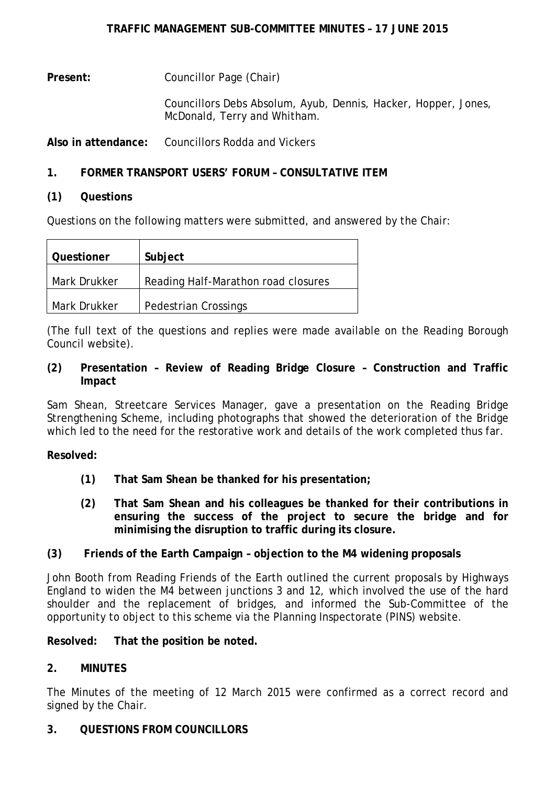**Present:** Councillor Page (Chair)

> Councillors Debs Absolum, Ayub, Dennis, Hacker, Hopper, Jones, McDonald, Terry and Whitham.

**Also in attendance:** Councillors Rodda and Vickers

# **1. FORMER TRANSPORT USERS' FORUM – CONSULTATIVE ITEM**

# **(1) Questions**

Questions on the following matters were submitted, and answered by the Chair:

| Questioner   | Subject                             |
|--------------|-------------------------------------|
| Mark Drukker | Reading Half-Marathon road closures |
| Mark Drukker | <b>Pedestrian Crossings</b>         |

(The full text of the questions and replies were made available on the Reading Borough Council website).

**(2) Presentation – Review of Reading Bridge Closure – Construction and Traffic Impact**

Sam Shean, Streetcare Services Manager, gave a presentation on the Reading Bridge Strengthening Scheme, including photographs that showed the deterioration of the Bridge which led to the need for the restorative work and details of the work completed thus far.

**Resolved:**

- **(1) That Sam Shean be thanked for his presentation;**
- **(2) That Sam Shean and his colleagues be thanked for their contributions in ensuring the success of the project to secure the bridge and for minimising the disruption to traffic during its closure.**

# **(3) Friends of the Earth Campaign – objection to the M4 widening proposals**

John Booth from Reading Friends of the Earth outlined the current proposals by Highways England to widen the M4 between junctions 3 and 12, which involved the use of the hard shoulder and the replacement of bridges, and informed the Sub-Committee of the opportunity to object to this scheme via the Planning Inspectorate (PINS) website.

**Resolved: That the position be noted.**

# **2. MINUTES**

The Minutes of the meeting of 12 March 2015 were confirmed as a correct record and signed by the Chair.

# **3. QUESTIONS FROM COUNCILLORS**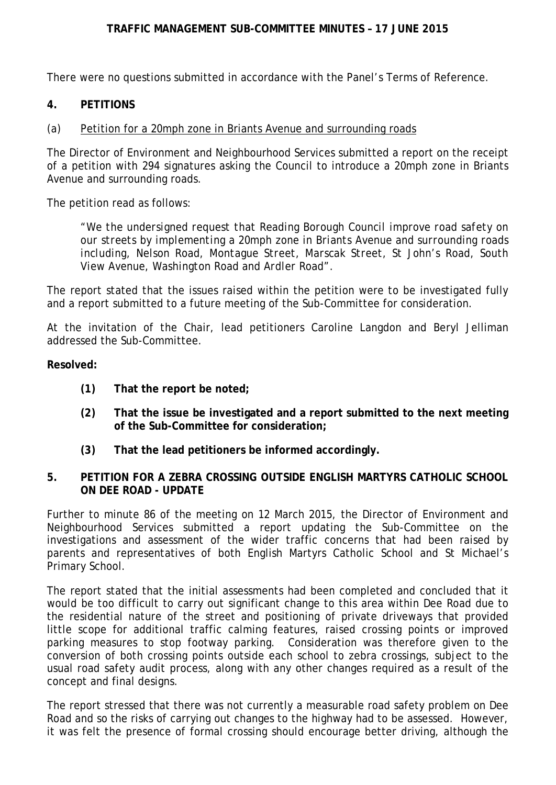### **TRAFFIC MANAGEMENT SUB-COMMITTEE MINUTES – 17 JUNE 2015**

There were no questions submitted in accordance with the Panel's Terms of Reference.

### **4. PETITIONS**

### (a) Petition for a 20mph zone in Briants Avenue and surrounding roads

The Director of Environment and Neighbourhood Services submitted a report on the receipt of a petition with 294 signatures asking the Council to introduce a 20mph zone in Briants Avenue and surrounding roads.

The petition read as follows:

*"We the undersigned request that Reading Borough Council improve road safety on our streets by implementing a 20mph zone in Briants Avenue and surrounding roads including, Nelson Road, Montague Street, Marscak Street, St John's Road, South View Avenue, Washington Road and Ardler Road".*

The report stated that the issues raised within the petition were to be investigated fully and a report submitted to a future meeting of the Sub-Committee for consideration.

At the invitation of the Chair, lead petitioners Caroline Langdon and Beryl Jelliman addressed the Sub-Committee.

#### **Resolved:**

- **(1) That the report be noted;**
- **(2) That the issue be investigated and a report submitted to the next meeting of the Sub-Committee for consideration;**
- **(3) That the lead petitioners be informed accordingly.**

### **5. PETITION FOR A ZEBRA CROSSING OUTSIDE ENGLISH MARTYRS CATHOLIC SCHOOL ON DEE ROAD - UPDATE**

Further to minute 86 of the meeting on 12 March 2015, the Director of Environment and Neighbourhood Services submitted a report updating the Sub-Committee on the investigations and assessment of the wider traffic concerns that had been raised by parents and representatives of both English Martyrs Catholic School and St Michael's Primary School.

The report stated that the initial assessments had been completed and concluded that it would be too difficult to carry out significant change to this area within Dee Road due to the residential nature of the street and positioning of private driveways that provided little scope for additional traffic calming features, raised crossing points or improved parking measures to stop footway parking. Consideration was therefore given to the conversion of both crossing points outside each school to zebra crossings, subject to the usual road safety audit process, along with any other changes required as a result of the concept and final designs.

The report stressed that there was not currently a measurable road safety problem on Dee Road and so the risks of carrying out changes to the highway had to be assessed. However, it was felt the presence of formal crossing should encourage better driving, although the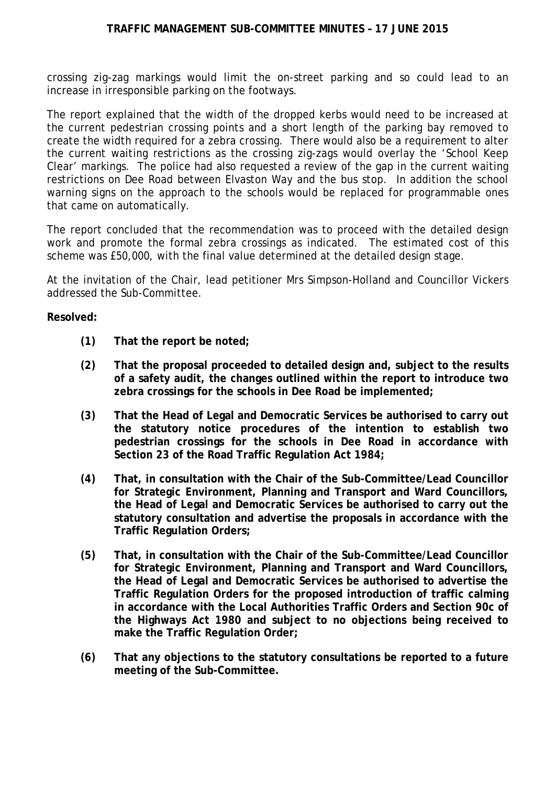crossing zig-zag markings would limit the on-street parking and so could lead to an increase in irresponsible parking on the footways.

The report explained that the width of the dropped kerbs would need to be increased at the current pedestrian crossing points and a short length of the parking bay removed to create the width required for a zebra crossing. There would also be a requirement to alter the current waiting restrictions as the crossing zig-zags would overlay the 'School Keep Clear' markings. The police had also requested a review of the gap in the current waiting restrictions on Dee Road between Elvaston Way and the bus stop. In addition the school warning signs on the approach to the schools would be replaced for programmable ones that came on automatically.

The report concluded that the recommendation was to proceed with the detailed design work and promote the formal zebra crossings as indicated. The estimated cost of this scheme was £50,000, with the final value determined at the detailed design stage.

At the invitation of the Chair, lead petitioner Mrs Simpson-Holland and Councillor Vickers addressed the Sub-Committee.

### **Resolved:**

- **(1) That the report be noted;**
- **(2) That the proposal proceeded to detailed design and, subject to the results of a safety audit, the changes outlined within the report to introduce two zebra crossings for the schools in Dee Road be implemented;**
- **(3) That the Head of Legal and Democratic Services be authorised to carry out the statutory notice procedures of the intention to establish two pedestrian crossings for the schools in Dee Road in accordance with Section 23 of the Road Traffic Regulation Act 1984;**
- **(4) That, in consultation with the Chair of the Sub-Committee/Lead Councillor for Strategic Environment, Planning and Transport and Ward Councillors, the Head of Legal and Democratic Services be authorised to carry out the statutory consultation and advertise the proposals in accordance with the Traffic Regulation Orders;**
- **(5) That, in consultation with the Chair of the Sub-Committee/Lead Councillor for Strategic Environment, Planning and Transport and Ward Councillors, the Head of Legal and Democratic Services be authorised to advertise the Traffic Regulation Orders for the proposed introduction of traffic calming in accordance with the Local Authorities Traffic Orders and Section 90c of the Highways Act 1980 and subject to no objections being received to make the Traffic Regulation Order;**
- **(6) That any objections to the statutory consultations be reported to a future meeting of the Sub-Committee.**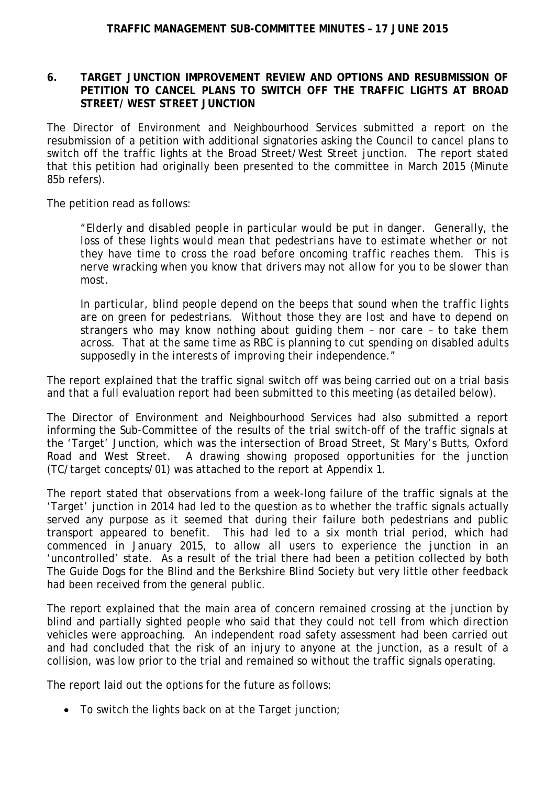### **6. TARGET JUNCTION IMPROVEMENT REVIEW AND OPTIONS AND RESUBMISSION OF PETITION TO CANCEL PLANS TO SWITCH OFF THE TRAFFIC LIGHTS AT BROAD STREET/ WEST STREET JUNCTION**

The Director of Environment and Neighbourhood Services submitted a report on the resubmission of a petition with additional signatories asking the Council to cancel plans to switch off the traffic lights at the Broad Street/West Street junction. The report stated that this petition had originally been presented to the committee in March 2015 (Minute 85b refers).

The petition read as follows:

*"Elderly and disabled people in particular would be put in danger. Generally, the*  loss of these lights would mean that pedestrians have to estimate whether or not *they have time to cross the road before oncoming traffic reaches them. This is nerve wracking when you know that drivers may not allow for you to be slower than most.*

*In particular, blind people depend on the beeps that sound when the traffic lights are on green for pedestrians. Without those they are lost and have to depend on strangers who may know nothing about guiding them – nor care – to take them across. That at the same time as RBC is planning to cut spending on disabled adults supposedly in the interests of improving their independence."*

The report explained that the traffic signal switch off was being carried out on a trial basis and that a full evaluation report had been submitted to this meeting (as detailed below).

The Director of Environment and Neighbourhood Services had also submitted a report informing the Sub-Committee of the results of the trial switch-off of the traffic signals at the 'Target' Junction, which was the intersection of Broad Street, St Mary's Butts, Oxford Road and West Street. A drawing showing proposed opportunities for the junction (TC/target concepts/01) was attached to the report at Appendix 1.

The report stated that observations from a week-long failure of the traffic signals at the 'Target' junction in 2014 had led to the question as to whether the traffic signals actually served any purpose as it seemed that during their failure both pedestrians and public transport appeared to benefit. This had led to a six month trial period, which had commenced in January 2015, to allow all users to experience the junction in an 'uncontrolled' state. As a result of the trial there had been a petition collected by both The Guide Dogs for the Blind and the Berkshire Blind Society but very little other feedback had been received from the general public.

The report explained that the main area of concern remained crossing at the junction by blind and partially sighted people who said that they could not tell from which direction vehicles were approaching. An independent road safety assessment had been carried out and had concluded that the risk of an injury to anyone at the junction, as a result of a collision, was low prior to the trial and remained so without the traffic signals operating.

The report laid out the options for the future as follows:

• To switch the lights back on at the Target junction;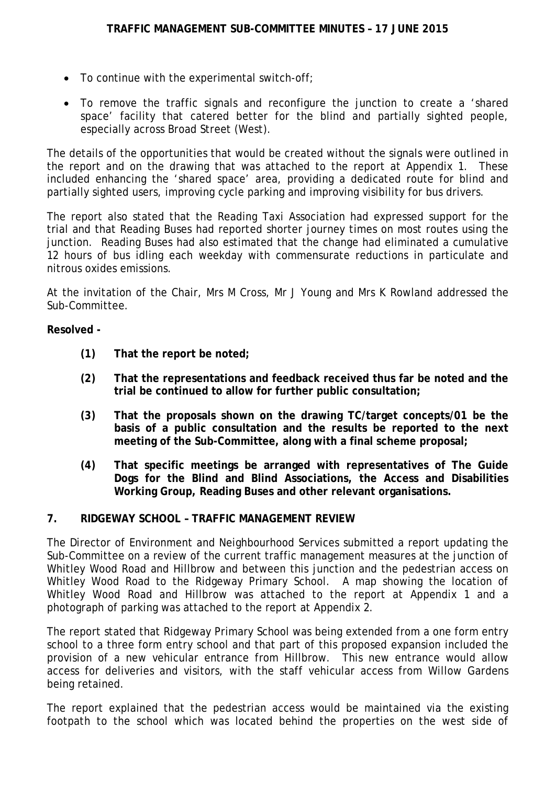- To continue with the experimental switch-off;
- To remove the traffic signals and reconfigure the junction to create a 'shared space' facility that catered better for the blind and partially sighted people, especially across Broad Street (West).

The details of the opportunities that would be created without the signals were outlined in the report and on the drawing that was attached to the report at Appendix 1. These included enhancing the 'shared space' area, providing a dedicated route for blind and partially sighted users, improving cycle parking and improving visibility for bus drivers.

The report also stated that the Reading Taxi Association had expressed support for the trial and that Reading Buses had reported shorter journey times on most routes using the junction. Reading Buses had also estimated that the change had eliminated a cumulative 12 hours of bus idling each weekday with commensurate reductions in particulate and nitrous oxides emissions.

At the invitation of the Chair, Mrs M Cross, Mr J Young and Mrs K Rowland addressed the Sub-Committee.

# **Resolved -**

- **(1) That the report be noted;**
- **(2) That the representations and feedback received thus far be noted and the trial be continued to allow for further public consultation;**
- **(3) That the proposals shown on the drawing TC/target concepts/01 be the basis of a public consultation and the results be reported to the next meeting of the Sub-Committee, along with a final scheme proposal;**
- **(4) That specific meetings be arranged with representatives of The Guide Dogs for the Blind and Blind Associations, the Access and Disabilities Working Group, Reading Buses and other relevant organisations.**

### **7. RIDGEWAY SCHOOL – TRAFFIC MANAGEMENT REVIEW**

The Director of Environment and Neighbourhood Services submitted a report updating the Sub-Committee on a review of the current traffic management measures at the junction of Whitley Wood Road and Hillbrow and between this junction and the pedestrian access on Whitley Wood Road to the Ridgeway Primary School. A map showing the location of Whitley Wood Road and Hillbrow was attached to the report at Appendix 1 and a photograph of parking was attached to the report at Appendix 2.

The report stated that Ridgeway Primary School was being extended from a one form entry school to a three form entry school and that part of this proposed expansion included the provision of a new vehicular entrance from Hillbrow. This new entrance would allow access for deliveries and visitors, with the staff vehicular access from Willow Gardens being retained.

The report explained that the pedestrian access would be maintained via the existing footpath to the school which was located behind the properties on the west side of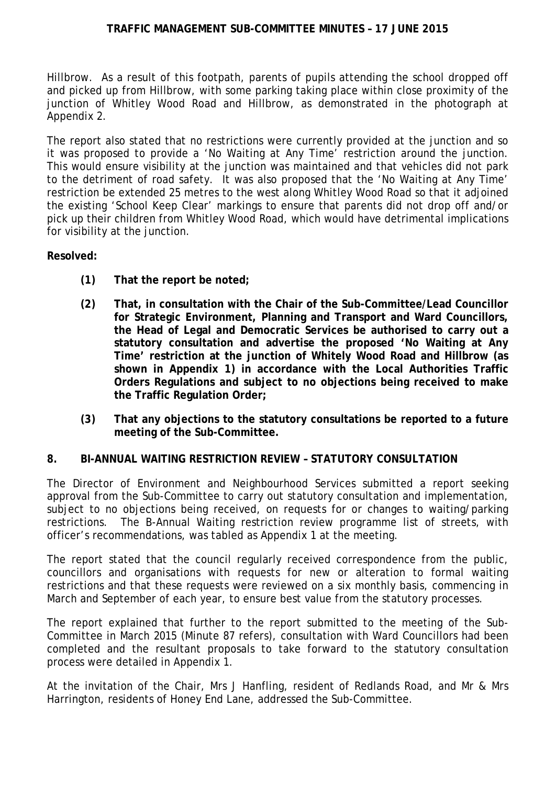Hillbrow. As a result of this footpath, parents of pupils attending the school dropped off and picked up from Hillbrow, with some parking taking place within close proximity of the junction of Whitley Wood Road and Hillbrow, as demonstrated in the photograph at Appendix 2.

The report also stated that no restrictions were currently provided at the junction and so it was proposed to provide a 'No Waiting at Any Time' restriction around the junction. This would ensure visibility at the junction was maintained and that vehicles did not park to the detriment of road safety. It was also proposed that the 'No Waiting at Any Time' restriction be extended 25 metres to the west along Whitley Wood Road so that it adjoined the existing 'School Keep Clear' markings to ensure that parents did not drop off and/or pick up their children from Whitley Wood Road, which would have detrimental implications for visibility at the junction.

### **Resolved:**

- **(1) That the report be noted;**
- **(2) That, in consultation with the Chair of the Sub-Committee/Lead Councillor for Strategic Environment, Planning and Transport and Ward Councillors, the Head of Legal and Democratic Services be authorised to carry out a statutory consultation and advertise the proposed 'No Waiting at Any Time' restriction at the junction of Whitely Wood Road and Hillbrow (as shown in Appendix 1) in accordance with the Local Authorities Traffic Orders Regulations and subject to no objections being received to make the Traffic Regulation Order;**
- **(3) That any objections to the statutory consultations be reported to a future meeting of the Sub-Committee.**

### **8. BI-ANNUAL WAITING RESTRICTION REVIEW – STATUTORY CONSULTATION**

The Director of Environment and Neighbourhood Services submitted a report seeking approval from the Sub-Committee to carry out statutory consultation and implementation, subject to no objections being received, on requests for or changes to waiting/parking restrictions. The B-Annual Waiting restriction review programme list of streets, with officer's recommendations, was tabled as Appendix 1 at the meeting.

The report stated that the council regularly received correspondence from the public, councillors and organisations with requests for new or alteration to formal waiting restrictions and that these requests were reviewed on a six monthly basis, commencing in March and September of each year, to ensure best value from the statutory processes.

The report explained that further to the report submitted to the meeting of the Sub-Committee in March 2015 (Minute 87 refers), consultation with Ward Councillors had been completed and the resultant proposals to take forward to the statutory consultation process were detailed in Appendix 1.

At the invitation of the Chair, Mrs J Hanfling, resident of Redlands Road, and Mr & Mrs Harrington, residents of Honey End Lane, addressed the Sub-Committee.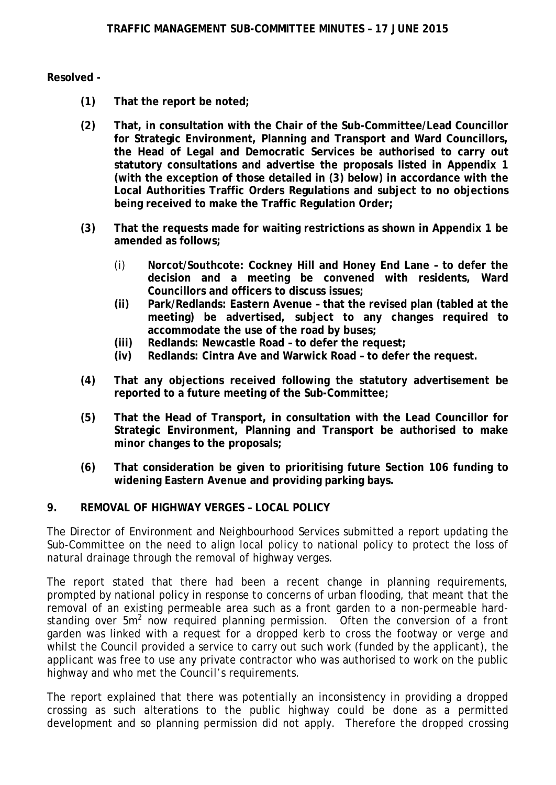### **Resolved -**

- **(1) That the report be noted;**
- **(2) That, in consultation with the Chair of the Sub-Committee/Lead Councillor for Strategic Environment, Planning and Transport and Ward Councillors, the Head of Legal and Democratic Services be authorised to carry out statutory consultations and advertise the proposals listed in Appendix 1 (with the exception of those detailed in (3) below) in accordance with the Local Authorities Traffic Orders Regulations and subject to no objections being received to make the Traffic Regulation Order;**
- **(3) That the requests made for waiting restrictions as shown in Appendix 1 be amended as follows;**
	- (i) **Norcot/Southcote: Cockney Hill and Honey End Lane – to defer the decision and a meeting be convened with residents, Ward Councillors and officers to discuss issues;**
	- **(ii) Park/Redlands: Eastern Avenue – that the revised plan (tabled at the meeting) be advertised, subject to any changes required to accommodate the use of the road by buses;**
	- **(iii) Redlands: Newcastle Road – to defer the request;**
	- **(iv) Redlands: Cintra Ave and Warwick Road – to defer the request.**
- **(4) That any objections received following the statutory advertisement be reported to a future meeting of the Sub-Committee;**
- **(5) That the Head of Transport, in consultation with the Lead Councillor for Strategic Environment, Planning and Transport be authorised to make minor changes to the proposals;**
- **(6) That consideration be given to prioritising future Section 106 funding to widening Eastern Avenue and providing parking bays.**

# **9. REMOVAL OF HIGHWAY VERGES – LOCAL POLICY**

The Director of Environment and Neighbourhood Services submitted a report updating the Sub-Committee on the need to align local policy to national policy to protect the loss of natural drainage through the removal of highway verges.

The report stated that there had been a recent change in planning requirements, prompted by national policy in response to concerns of urban flooding, that meant that the removal of an existing permeable area such as a front garden to a non-permeable hardstanding over  $5m^2$  now required planning permission. Often the conversion of a front garden was linked with a request for a dropped kerb to cross the footway or verge and whilst the Council provided a service to carry out such work (funded by the applicant), the applicant was free to use any private contractor who was authorised to work on the public highway and who met the Council's requirements.

The report explained that there was potentially an inconsistency in providing a dropped crossing as such alterations to the public highway could be done as a permitted development and so planning permission did not apply. Therefore the dropped crossing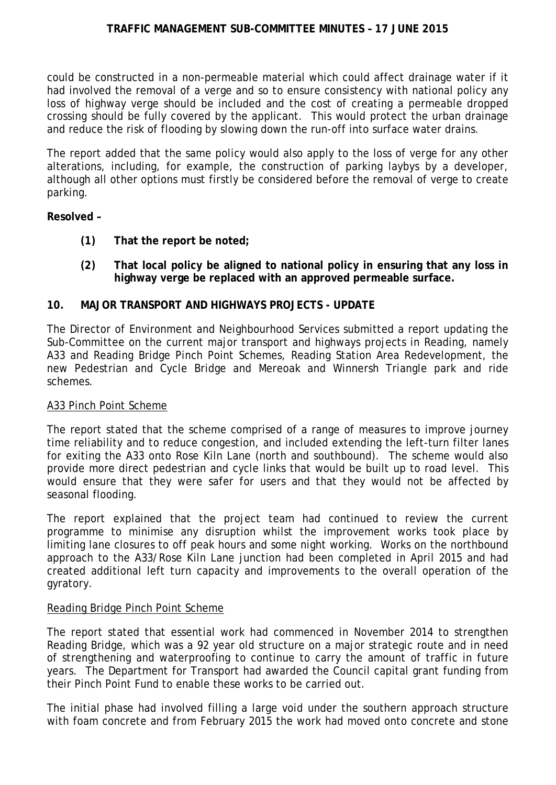could be constructed in a non-permeable material which could affect drainage water if it had involved the removal of a verge and so to ensure consistency with national policy any loss of highway verge should be included and the cost of creating a permeable dropped crossing should be fully covered by the applicant. This would protect the urban drainage and reduce the risk of flooding by slowing down the run-off into surface water drains.

The report added that the same policy would also apply to the loss of verge for any other alterations, including, for example, the construction of parking laybys by a developer, although all other options must firstly be considered before the removal of verge to create parking.

### **Resolved –**

- **(1) That the report be noted;**
- **(2) That local policy be aligned to national policy in ensuring that any loss in highway verge be replaced with an approved permeable surface.**

### **10. MAJOR TRANSPORT AND HIGHWAYS PROJECTS - UPDATE**

The Director of Environment and Neighbourhood Services submitted a report updating the Sub-Committee on the current major transport and highways projects in Reading, namely A33 and Reading Bridge Pinch Point Schemes, Reading Station Area Redevelopment, the new Pedestrian and Cycle Bridge and Mereoak and Winnersh Triangle park and ride schemes.

### A33 Pinch Point Scheme

The report stated that the scheme comprised of a range of measures to improve journey time reliability and to reduce congestion, and included extending the left-turn filter lanes for exiting the A33 onto Rose Kiln Lane (north and southbound). The scheme would also provide more direct pedestrian and cycle links that would be built up to road level. This would ensure that they were safer for users and that they would not be affected by seasonal flooding.

The report explained that the project team had continued to review the current programme to minimise any disruption whilst the improvement works took place by limiting lane closures to off peak hours and some night working. Works on the northbound approach to the A33/Rose Kiln Lane junction had been completed in April 2015 and had created additional left turn capacity and improvements to the overall operation of the gyratory.

### Reading Bridge Pinch Point Scheme

The report stated that essential work had commenced in November 2014 to strengthen Reading Bridge, which was a 92 year old structure on a major strategic route and in need of strengthening and waterproofing to continue to carry the amount of traffic in future years. The Department for Transport had awarded the Council capital grant funding from their Pinch Point Fund to enable these works to be carried out.

The initial phase had involved filling a large void under the southern approach structure with foam concrete and from February 2015 the work had moved onto concrete and stone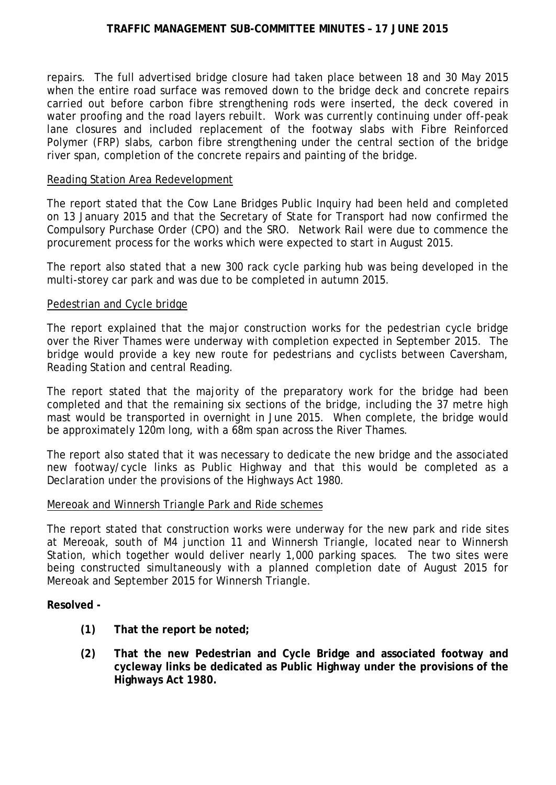### **TRAFFIC MANAGEMENT SUB-COMMITTEE MINUTES – 17 JUNE 2015**

repairs. The full advertised bridge closure had taken place between 18 and 30 May 2015 when the entire road surface was removed down to the bridge deck and concrete repairs carried out before carbon fibre strengthening rods were inserted, the deck covered in water proofing and the road layers rebuilt. Work was currently continuing under off-peak lane closures and included replacement of the footway slabs with Fibre Reinforced Polymer (FRP) slabs, carbon fibre strengthening under the central section of the bridge river span, completion of the concrete repairs and painting of the bridge.

#### Reading Station Area Redevelopment

The report stated that the Cow Lane Bridges Public Inquiry had been held and completed on 13 January 2015 and that the Secretary of State for Transport had now confirmed the Compulsory Purchase Order (CPO) and the SRO. Network Rail were due to commence the procurement process for the works which were expected to start in August 2015.

The report also stated that a new 300 rack cycle parking hub was being developed in the multi-storey car park and was due to be completed in autumn 2015.

#### Pedestrian and Cycle bridge

The report explained that the major construction works for the pedestrian cycle bridge over the River Thames were underway with completion expected in September 2015. The bridge would provide a key new route for pedestrians and cyclists between Caversham, Reading Station and central Reading.

The report stated that the majority of the preparatory work for the bridge had been completed and that the remaining six sections of the bridge, including the 37 metre high mast would be transported in overnight in June 2015. When complete, the bridge would be approximately 120m long, with a 68m span across the River Thames.

The report also stated that it was necessary to dedicate the new bridge and the associated new footway/cycle links as Public Highway and that this would be completed as a Declaration under the provisions of the Highways Act 1980.

### Mereoak and Winnersh Triangle Park and Ride schemes

The report stated that construction works were underway for the new park and ride sites at Mereoak, south of M4 junction 11 and Winnersh Triangle, located near to Winnersh Station, which together would deliver nearly 1,000 parking spaces. The two sites were being constructed simultaneously with a planned completion date of August 2015 for Mereoak and September 2015 for Winnersh Triangle.

#### **Resolved -**

- **(1) That the report be noted;**
- **(2) That the new Pedestrian and Cycle Bridge and associated footway and cycleway links be dedicated as Public Highway under the provisions of the Highways Act 1980.**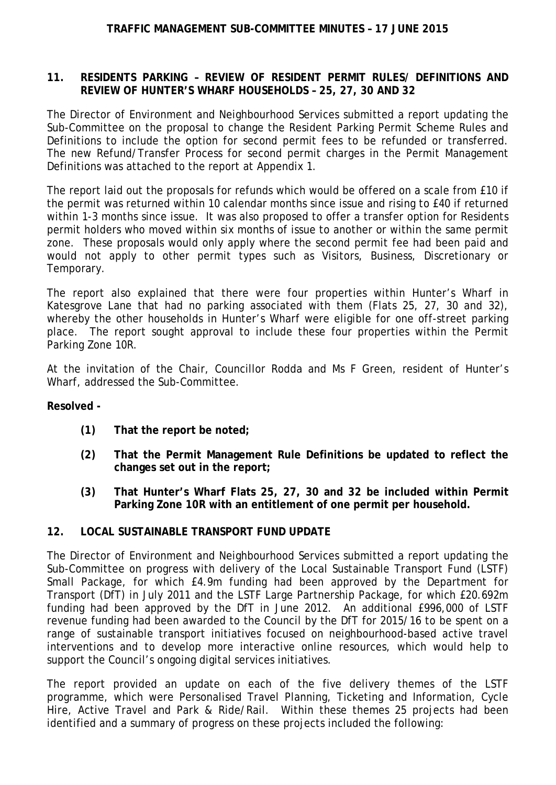### **TRAFFIC MANAGEMENT SUB-COMMITTEE MINUTES – 17 JUNE 2015**

### **11. RESIDENTS PARKING – REVIEW OF RESIDENT PERMIT RULES/ DEFINITIONS AND REVIEW OF HUNTER'S WHARF HOUSEHOLDS – 25, 27, 30 AND 32**

The Director of Environment and Neighbourhood Services submitted a report updating the Sub-Committee on the proposal to change the Resident Parking Permit Scheme Rules and Definitions to include the option for second permit fees to be refunded or transferred. The new Refund/Transfer Process for second permit charges in the Permit Management Definitions was attached to the report at Appendix 1.

The report laid out the proposals for refunds which would be offered on a scale from £10 if the permit was returned within 10 calendar months since issue and rising to £40 if returned within 1-3 months since issue. It was also proposed to offer a transfer option for Residents permit holders who moved within six months of issue to another or within the same permit zone. These proposals would only apply where the second permit fee had been paid and would not apply to other permit types such as Visitors, Business, Discretionary or Temporary.

The report also explained that there were four properties within Hunter's Wharf in Katesgrove Lane that had no parking associated with them (Flats 25, 27, 30 and 32), whereby the other households in Hunter's Wharf were eligible for one off-street parking place. The report sought approval to include these four properties within the Permit Parking Zone 10R.

At the invitation of the Chair, Councillor Rodda and Ms F Green, resident of Hunter's Wharf, addressed the Sub-Committee.

### **Resolved -**

- **(1) That the report be noted;**
- **(2) That the Permit Management Rule Definitions be updated to reflect the changes set out in the report;**
- **(3) That Hunter's Wharf Flats 25, 27, 30 and 32 be included within Permit Parking Zone 10R with an entitlement of one permit per household.**

### **12. LOCAL SUSTAINABLE TRANSPORT FUND UPDATE**

The Director of Environment and Neighbourhood Services submitted a report updating the Sub-Committee on progress with delivery of the Local Sustainable Transport Fund (LSTF) Small Package, for which £4.9m funding had been approved by the Department for Transport (DfT) in July 2011 and the LSTF Large Partnership Package, for which £20.692m funding had been approved by the DfT in June 2012. An additional £996,000 of LSTF revenue funding had been awarded to the Council by the DfT for 2015/16 to be spent on a range of sustainable transport initiatives focused on neighbourhood-based active travel interventions and to develop more interactive online resources, which would help to support the Council's ongoing digital services initiatives.

The report provided an update on each of the five delivery themes of the LSTF programme, which were Personalised Travel Planning, Ticketing and Information, Cycle Hire, Active Travel and Park & Ride/Rail. Within these themes 25 projects had been identified and a summary of progress on these projects included the following: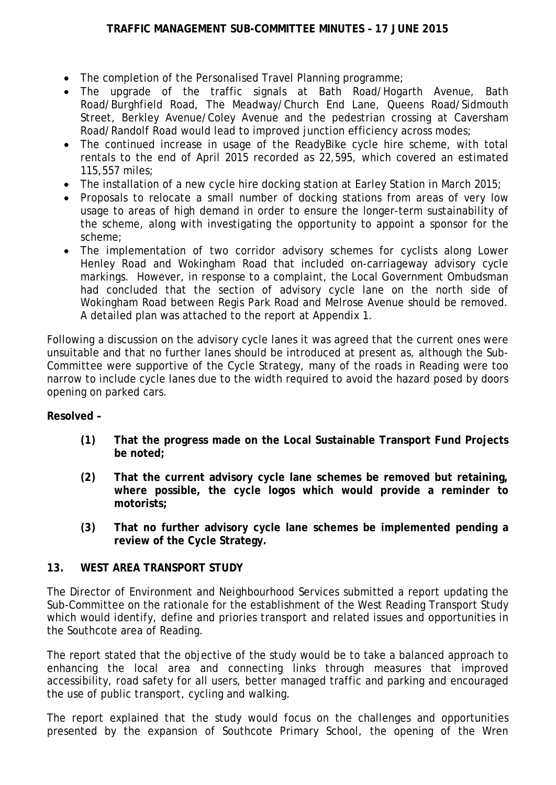- The completion of the Personalised Travel Planning programme;
- The upgrade of the traffic signals at Bath Road/Hogarth Avenue, Bath Road/Burghfield Road, The Meadway/Church End Lane, Queens Road/Sidmouth Street, Berkley Avenue/Coley Avenue and the pedestrian crossing at Caversham Road/Randolf Road would lead to improved junction efficiency across modes;
- The continued increase in usage of the ReadyBike cycle hire scheme, with total rentals to the end of April 2015 recorded as 22,595, which covered an estimated 115,557 miles;
- The installation of a new cycle hire docking station at Earley Station in March 2015;
- Proposals to relocate a small number of docking stations from areas of very low usage to areas of high demand in order to ensure the longer-term sustainability of the scheme, along with investigating the opportunity to appoint a sponsor for the scheme;
- The implementation of two corridor advisory schemes for cyclists along Lower Henley Road and Wokingham Road that included on-carriageway advisory cycle markings. However, in response to a complaint, the Local Government Ombudsman had concluded that the section of advisory cycle lane on the north side of Wokingham Road between Regis Park Road and Melrose Avenue should be removed. A detailed plan was attached to the report at Appendix 1.

Following a discussion on the advisory cycle lanes it was agreed that the current ones were unsuitable and that no further lanes should be introduced at present as, although the Sub-Committee were supportive of the Cycle Strategy, many of the roads in Reading were too narrow to include cycle lanes due to the width required to avoid the hazard posed by doors opening on parked cars.

# **Resolved –**

- **(1) That the progress made on the Local Sustainable Transport Fund Projects be noted;**
- **(2) That the current advisory cycle lane schemes be removed but retaining, where possible, the cycle logos which would provide a reminder to motorists;**
- **(3) That no further advisory cycle lane schemes be implemented pending a review of the Cycle Strategy.**

# **13. WEST AREA TRANSPORT STUDY**

The Director of Environment and Neighbourhood Services submitted a report updating the Sub-Committee on the rationale for the establishment of the West Reading Transport Study which would identify, define and priories transport and related issues and opportunities in the Southcote area of Reading.

The report stated that the objective of the study would be to take a balanced approach to enhancing the local area and connecting links through measures that improved accessibility, road safety for all users, better managed traffic and parking and encouraged the use of public transport, cycling and walking.

The report explained that the study would focus on the challenges and opportunities presented by the expansion of Southcote Primary School, the opening of the Wren